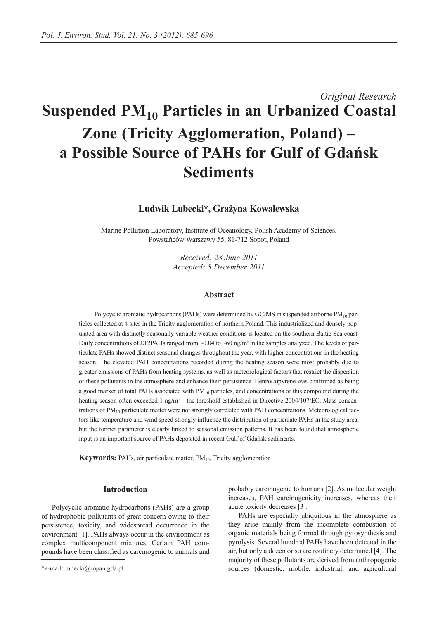# *Original Research* **Suspended PM10 Particles in an Urbanized Coastal Zone (Tricity Agglomeration, Poland) – a Possible Source of PAHs for Gulf of Gdańsk Sediments**

**Ludwik Lubecki\*, Grażyna Kowalewska** 

Marine Pollution Laboratory, Institute of Oceanology, Polish Academy of Sciences, Powstańców Warszawy 55, 81-712 Sopot, Poland

> *Received: 28 June 2011 Accepted: 8 December 2011*

# **Abstract**

Polycyclic aromatic hydrocarbons (PAHs) were determined by GC/MS in suspended airborne PM<sub>10</sub> particles collected at 4 sites in the Tricity agglomeration of northern Poland. This industrialized and densely populated area with distinctly seasonally variable weather conditions is located on the southern Baltic Sea coast. Daily concentrations of Σ12PAHs ranged from ~0.04 to ~60 ng/m<sup>3</sup> in the samples analyzed. The levels of particulate PAHs showed distinct seasonal changes throughout the year, with higher concentrations in the heating season. The elevated PAH concentrations recorded during the heating season were most probably due to greater emissions of PAHs from heating systems, as well as meteorological factors that restrict the dispersion of these pollutants in the atmosphere and enhance their persistence. Benzo(a)pyrene was confirmed as being a good marker of total PAHs associated with  $PM_{10}$  particles, and concentrations of this compound during the heating season often exceeded 1 ng/m<sup>3</sup> – the threshold established in Directive 2004/107/EC. Mass concentrations of  $PM_{10}$  particulate matter were not strongly correlated with PAH concentrations. Meteorological factors like temperature and wind speed strongly influence the distribution of particulate PAHs in the study area, but the former parameter is clearly linked to seasonal emission patterns. It has been found that atmospheric input is an important source of PAHs deposited in recent Gulf of Gdańsk sediments.

**Keywords:** PAHs, air particulate matter, PM<sub>10</sub>, Tricity agglomeration

## **Introduction**

Polycyclic aromatic hydrocarbons (PAHs) are a group of hydrophobic pollutants of great concern owing to their persistence, toxicity, and widespread occurrence in the environment [1]. PAHs always occur in the environment as complex multicomponent mixtures. Certain PAH compounds have been classified as carcinogenic to animals and probably carcinogenic to humans [2]. As molecular weight increases, PAH carcinogenicity increases, whereas their acute toxicity decreases [3].

PAHs are especially ubiquitous in the atmosphere as they arise mainly from the incomplete combustion of organic materials being formed through pyrosynthesis and pyrolysis. Several hundred PAHs have been detected in the air, but only a dozen or so are routinely determined [4]. The majority of these pollutants are derived from anthropogenic sources (domestic, mobile, industrial, and agricultural

<sup>\*</sup>e-mail: lubecki@iopan.gda.pl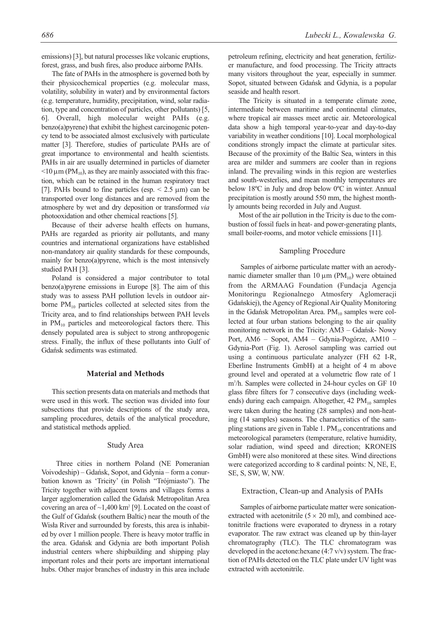emissions) [3], but natural processes like volcanic eruptions, forest, grass, and bush fires, also produce airborne PAHs.

The fate of PAHs in the atmosphere is governed both by their physicochemical properties (e.g. molecular mass, volatility, solubility in water) and by environmental factors (e.g. temperature, humidity, precipitation, wind, solar radiation, type and concentration of particles, other pollutants) [5, 6]. Overall, high molecular weight PAHs (e.g. benzo(a)pyrene) that exhibit the highest carcinogenic potency tend to be associated almost exclusively with particulate matter [3]. Therefore, studies of particulate PAHs are of great importance to environmental and health scientists. PAHs in air are usually determined in particles of diameter  $<$ 10  $\mu$ m (PM<sub>10</sub>), as they are mainly associated with this fraction, which can be retained in the human respiratory tract [7]. PAHs bound to fine particles (esp.  $\leq$  2.5  $\mu$ m) can be transported over long distances and are removed from the atmosphere by wet and dry deposition or transformed *via* photooxidation and other chemical reactions [5].

Because of their adverse health effects on humans, PAHs are regarded as priority air pollutants, and many countries and international organizations have established non-mandatory air quality standards for these compounds, mainly for benzo(a)pyrene, which is the most intensively studied PAH [3].

Poland is considered a major contributor to total benzo(a)pyrene emissions in Europe [8]. The aim of this study was to assess PAH pollution levels in outdoor airborne  $PM_{10}$  particles collected at selected sites from the Tricity area, and to find relationships between PAH levels in PM<sub>10</sub> particles and meteorological factors there. This densely populated area is subject to strong anthropogenic stress. Finally, the influx of these pollutants into Gulf of Gdańsk sediments was estimated.

# **Material and Methods**

This section presents data on materials and methods that were used in this work. The section was divided into four subsections that provide descriptions of the study area, sampling procedures, details of the analytical procedure, and statistical methods applied.

### Study Area

Three cities in northern Poland (NE Pomeranian Voivodeship) – Gdańsk, Sopot, and Gdynia – form a conurbation known as 'Tricity' (in Polish "Trójmiasto"). The Tricity together with adjacent towns and villages forms a larger agglomeration called the Gdańsk Metropolitan Area covering an area of  $\sim$ 1,400 km<sup>2</sup> [9]. Located on the coast of the Gulf of Gdańsk (southern Baltic) near the mouth of the Wisła River and surrounded by forests, this area is inhabited by over 1 million people. There is heavy motor traffic in the area. Gdańsk and Gdynia are both important Polish industrial centers where shipbuilding and shipping play important roles and their ports are important international hubs. Other major branches of industry in this area include petroleum refining, electricity and heat generation, fertilizer manufacture, and food processing. The Tricity attracts many visitors throughout the year, especially in summer. Sopot, situated between Gdańsk and Gdynia, is a popular seaside and health resort.

The Tricity is situated in a temperate climate zone, intermediate between maritime and continental climates, where tropical air masses meet arctic air. Meteorological data show a high temporal year-to-year and day-to-day variability in weather conditions [10]. Local morphological conditions strongly impact the climate at particular sites. Because of the proximity of the Baltic Sea, winters in this area are milder and summers are cooler than in regions inland. The prevailing winds in this region are westerlies and south-westerlies, and mean monthly temperatures are below 18ºC in July and drop below 0ºC in winter. Annual precipitation is mostly around 550 mm, the highest monthly amounts being recorded in July and August.

Most of the air pollution in the Tricity is due to the combustion of fossil fuels in heat- and power-generating plants, small boiler-rooms, and motor vehicle emissions [11].

## Sampling Procedure

Samples of airborne particulate matter with an aerodynamic diameter smaller than 10  $\mu$ m (PM<sub>10</sub>) were obtained from the ARMAAG Foundation (Fundacja Agencja Monitoringu Regionalnego Atmosfery Aglomeracji Gdańskiej), the Agency of Regional Air Quality Monitoring in the Gdańsk Metropolitan Area. PM<sub>10</sub> samples were collected at four urban stations belonging to the air quality monitoring network in the Tricity: AM3 – Gdańsk- Nowy Port, AM6 – Sopot, AM4 – Gdynia-Pogórze, AM10 – Gdynia-Port (Fig. 1). Aerosol sampling was carried out using a continuous particulate analyzer (FH 62 I-R, Eberline Instruments GmbH) at a height of 4 m above ground level and operated at a volumetric flow rate of 1 m3 /h. Samples were collected in 24-hour cycles on GF 10 glass fibre filters for 7 consecutive days (including weekends) during each campaign. Altogether,  $42 \text{ PM}_{10}$  samples were taken during the heating (28 samples) and non-heating (14 samples) seasons. The characteristics of the sampling stations are given in Table 1.  $PM_{10}$  concentrations and meteorological parameters (temperature, relative humidity, solar radiation, wind speed and direction; KRONEIS GmbH) were also monitored at these sites. Wind directions were categorized according to 8 cardinal points: N, NE, E, SE, S, SW, W, NW.

## Extraction, Clean-up and Analysis of PAHs

Samples of airborne particulate matter were sonicationextracted with acetonitrile  $(5 \times 20 \text{ ml})$ , and combined acetonitrile fractions were evaporated to dryness in a rotary evaporator. The raw extract was cleaned up by thin-layer chromatography (TLC). The TLC chromatogram was developed in the acetone:hexane (4:7 v/v) system. The fraction of PAHs detected on the TLC plate under UV light was extracted with acetonitrile.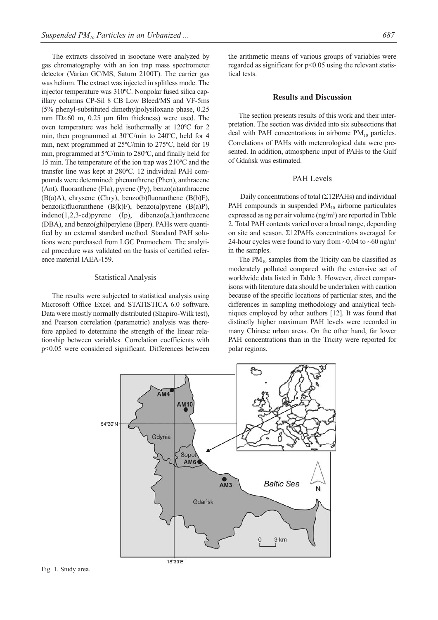The extracts dissolved in isooctane were analyzed by gas chromatography with an ion trap mass spectrometer detector (Varian GC/MS, Saturn 2100T). The carrier gas was helium. The extract was injected in splitless mode. The injector temperature was 310ºC. Nonpolar fused silica capillary columns CP-Sil 8 CB Low Bleed/MS and VF-5ms (5% phenyl-substituted dimethylpolysiloxane phase, 0.25 mm ID $\times$ 60 m, 0.25 µm film thickness) were used. The oven temperature was held isothermally at 120ºC for 2 min, then programmed at 30ºC/min to 240ºC, held for 4 min, next programmed at 25ºC/min to 275ºC, held for 19 min, programmed at 5ºC/min to 280ºC, and finally held for 15 min. The temperature of the ion trap was 210ºC and the transfer line was kept at 280ºC. 12 individual PAH compounds were determined: phenanthrene (Phen), anthracene (Ant), fluoranthene (Fla), pyrene (Py), benzo(a)anthracene  $(B(a)A)$ , chrysene (Chry), benzo(b)fluoranthene  $(B(b)F)$ , benzo(k)fluoranthene (B(k)F), benzo(a)pyrene (B(a)P), indeno(1,2,3-cd)pyrene (Ip), dibenzo(a,h)anthracene (DBA), and benzo(ghi)perylene (Bper). PAHs were quantified by an external standard method. Standard PAH solutions were purchased from LGC Promochem. The analytical procedure was validated on the basis of certified reference material IAEA-159.

## Statistical Analysis

The results were subjected to statistical analysis using Microsoft Office Excel and STATISTICA 6.0 software. Data were mostly normally distributed (Shapiro-Wilk test), and Pearson correlation (parametric) analysis was therefore applied to determine the strength of the linear relationship between variables. Correlation coefficients with p<0.05 were considered significant. Differences between the arithmetic means of various groups of variables were regarded as significant for p<0.05 using the relevant statistical tests.

## **Results and Discussion**

The section presents results of this work and their interpretation. The section was divided into six subsections that deal with PAH concentrations in airborne  $PM_{10}$  particles. Correlations of PAHs with meteorological data were presented. In addition, atmospheric input of PAHs to the Gulf of Gdańsk was estimated.

# PAH Levels

Daily concentrations of total (Σ12PAHs) and individual PAH compounds in suspended  $PM_{10}$  airborne particulates expressed as ng per air volume (ng/m<sup>3</sup>) are reported in Table 2. Total PAH contents varied over a broad range, depending on site and season. Σ12PAHs concentrations averaged for 24-hour cycles were found to vary from  $\sim 0.04$  to  $\sim 60$  ng/m<sup>3</sup> in the samples.

The  $PM_{10}$  samples from the Tricity can be classified as moderately polluted compared with the extensive set of worldwide data listed in Table 3. However, direct comparisons with literature data should be undertaken with caution because of the specific locations of particular sites, and the differences in sampling methodology and analytical techniques employed by other authors [12]. It was found that distinctly higher maximum PAH levels were recorded in many Chinese urban areas. On the other hand, far lower PAH concentrations than in the Tricity were reported for polar regions.

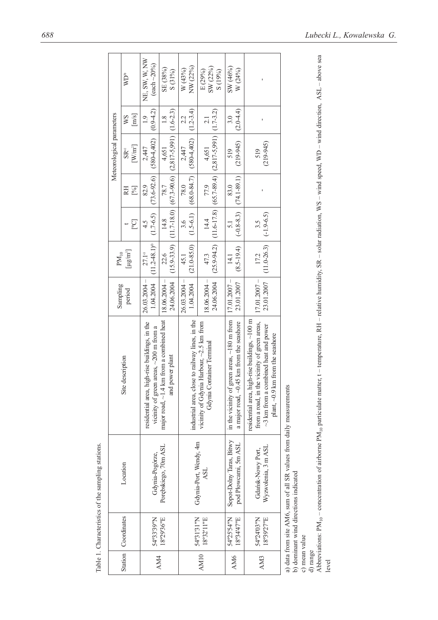|                 |                          |                                                                     |                                                                                                                                                                                 | Sampling                       | $PM_{10}$                        |                         |                         | Meteorological parameters                                                      |                                |                                     |
|-----------------|--------------------------|---------------------------------------------------------------------|---------------------------------------------------------------------------------------------------------------------------------------------------------------------------------|--------------------------------|----------------------------------|-------------------------|-------------------------|--------------------------------------------------------------------------------|--------------------------------|-------------------------------------|
|                 | Station   Coordinates    | Location                                                            | Site description                                                                                                                                                                | period                         | $\left[\mu g/m^3\right]$         | [Col                    | [%]<br>RH               | $[W/m^2]$<br>$SR$ <sup>a</sup>                                                 | [m/s]<br>WS                    | $\mathbb{W}\mathrm{D}^\mathrm{b}$   |
| AM4             | 54°33'39"N               | Gdynia-Pogórze,                                                     | high-rise buildings, in the<br>vicinity of green areas, $\sim$ 200 m from a<br>residential area,                                                                                | $26.03.2004 -$<br>1.04.2004    | $(11.2 - 48.1)^{\circ}$<br>27.1° | $(1.7-6.5)$<br>4.5      | $(73.6 - 92.6)$<br>82.9 | $(580-4,402)$<br>2,447                                                         | (0.94.2)<br>$\frac{1}{2}$      | NE, SW, W, NW<br>$(each \sim 20\%)$ |
|                 | 18°29'36"E               | Porębskiego, 70m ASL                                                | major road, ~1.4 km from a combined heat<br>and power plant                                                                                                                     | $18.06.2004 -$<br>24.06.2004   | $(15.9 - 33.9)$<br>22.6          | $(11.7 - 18.0)$<br>14.8 | $(67.3 - 90.6)$<br>78.7 | $(2, 817 - 5, 991)$<br>4,651                                                   | $(1.6 - 2.3)$<br>$\frac{8}{1}$ | SE (38%)<br>$S(31\%)$               |
|                 | 54°31'31"N               | Gdynia-Port, Wendy, 4m                                              | industrial area, close to railway lines, in the                                                                                                                                 | $26.03.2004 -$<br>1.04.2004    | $(21.0 - 85.0)$<br>45.1          | $(1.5-6.1)$<br>3.6      | $(68.0 - 84.7)$<br>78.0 | $(580 - 4,402)$<br>2,447                                                       | $(1.2 - 3.4)$<br>2.2           | NW (22%)<br>W(43%)                  |
| AM10            | 18°32'11"E               | <b>ASL</b>                                                          | vicinity of Gdynia Harbour, ~2.5 km from<br>Gdynia Container Terminal                                                                                                           | $-18.06.2004$<br>24.06.2004    | 47.3                             | 14.4                    | 77.9                    | $(25.9-94.2)$ $(11.6-17.8)$ $(65.7-89.4)$ $(2,817-5,991)$ $(1.7-3.2)$<br>4,651 | 2.1                            | SW (22%)<br>E(29%)<br>S(19%)        |
| AM <sub>6</sub> | 54°25'54"N<br>18°34'47"E | Sopot-Dolny Taras, Bitwy<br>pod Płowcami, 5m ASL                    | in the vicinity of green areas, $\sim$ 180 m from<br>.45 km from the seashore<br>a major road, $\sim$ 0.                                                                        | $  17.01.2007 -$<br>23.01.2007 | $(8.5 - 19.4)$<br>14.1           | $(-0.8 - 8.3)$          | $(74.1 - 89.1)$<br>83.0 | $(219-945)$<br>519                                                             | $(2.0 - 4.4)$<br>3.0           | SW (46%)<br>W (24%)                 |
| AM <sub>3</sub> | S4°24'03"N<br>18°39'27"E | Wyzwolenia, 3 m ASL<br>Gdańsk-Nowy Port,                            | residential area, high-rise buildings, ~100 m<br>from a road, in the vicinity of green areas,<br>$\sim$ 3 km from a combined heat and power<br>plant, ~0.9 km from the seashore | $17.01.2007 -$<br>23.01.2007   | $(11.0 - 26.3)$<br>17.2          | $(-1.9 - 6.5)$<br>3.5   |                         | $(219-945)$<br>519                                                             | ı                              |                                     |
|                 |                          | a) data from site AM6, sum of all SR values from daily measurements |                                                                                                                                                                                 |                                |                                  |                         |                         |                                                                                |                                |                                     |

b) dominant wind directions indicated<br>  $\mathbf c)$  mean value b) dominant wind directions indicated

c) mean value

d) range levelAbbreviations:  $PM_{10}$  – concentration of airborne PM<sub>10</sub> particulate matter, t – temperature, RH – relative humidity, SR – solar radiation, WS – wind speed, WD – wind direction, ASL – above sea

Table 1. Characteristics of the sampling stations. Table 1. Characteristics of the sampling stations.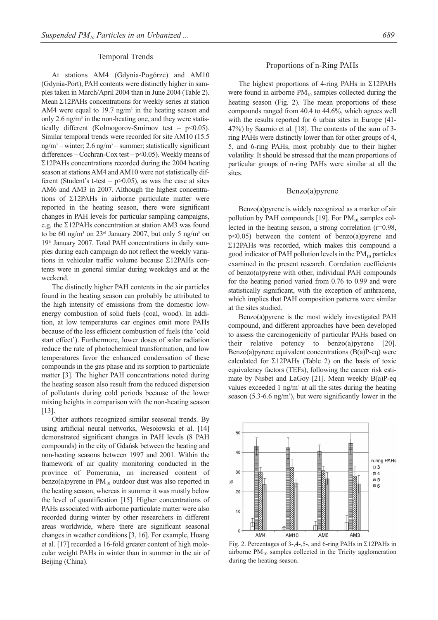# Temporal Trends

At stations AM4 (Gdynia-Pogórze) and AM10 (Gdynia-Port), PAH contents were distinctly higher in samples taken in March/April 2004 than in June 2004 (Table 2). Mean Σ12PAHs concentrations for weekly series at station AM4 were equal to 19.7 ng/m<sup>3</sup> in the heating season and only 2.6 ng/m<sup>3</sup> in the non-heating one, and they were statistically different (Kolmogorov-Smirnov test –  $p<0.05$ ). Similar temporal trends were recorded for site AM10 (15.5  $ng/m<sup>3</sup>$  – winter; 2.6 ng/m<sup>3</sup> – summer; statistically significant differences – Cochran-Cox test –  $p$ <0.05). Weekly means of Σ12PAHs concentrations recorded during the 2004 heating season at stations AM4 and AM10 were not statistically different (Student's t-test –  $p$ >0.05), as was the case at sites AM6 and AM3 in 2007. Although the highest concentrations of Σ12PAHs in airborne particulate matter were reported in the heating season, there were significant changes in PAH levels for particular sampling campaigns, e.g. the Σ12PAHs concentration at station AM3 was found to be 60 ng/m<sup>3</sup> on  $23<sup>rd</sup>$  January 2007, but only 5 ng/m<sup>3</sup> on 19th January 2007. Total PAH concentrations in daily samples during each campaign do not reflect the weekly variations in vehicular traffic volume because Σ12PAHs contents were in general similar during weekdays and at the weekend.

The distinctly higher PAH contents in the air particles found in the heating season can probably be attributed to the high intensity of emissions from the domestic lowenergy combustion of solid fuels (coal, wood). In addition, at low temperatures car engines emit more PAHs because of the less efficient combustion of fuels (the 'cold start effect'). Furthermore, lower doses of solar radiation reduce the rate of photochemical transformation, and low temperatures favor the enhanced condensation of these compounds in the gas phase and its sorption to particulate matter [3]. The higher PAH concentrations noted during the heating season also result from the reduced dispersion of pollutants during cold periods because of the lower mixing heights in comparison with the non-heating season [13].

Other authors recognized similar seasonal trends. By using artificial neural networks, Wesołowski et al. [14] demonstrated significant changes in PAH levels (8 PAH compounds) in the city of Gdańsk between the heating and non-heating seasons between 1997 and 2001. Within the framework of air quality monitoring conducted in the province of Pomerania, an increased content of benzo(a)pyrene in  $PM_{10}$  outdoor dust was also reported in the heating season, whereas in summer it was mostly below the level of quantification [15]. Higher concentrations of PAHs associated with airborne particulate matter were also recorded during winter by other researchers in different areas worldwide, where there are significant seasonal changes in weather conditions [3, 16]. For example, Huang et al. [17] recorded a 16-fold greater content of high molecular weight PAHs in winter than in summer in the air of Beijing (China).

### Proportions of n-Ring PAHs

The highest proportions of 4-ring PAHs in Σ12PAHs were found in airborne  $PM_{10}$  samples collected during the heating season (Fig. 2). The mean proportions of these compounds ranged from 40.4 to 44.6%, which agrees well with the results reported for 6 urban sites in Europe (41- 47%) by Saarnio et al. [18]. The contents of the sum of 3 ring PAHs were distinctly lower than for other groups of 4, 5, and 6-ring PAHs, most probably due to their higher volatility. It should be stressed that the mean proportions of particular groups of n-ring PAHs were similar at all the sites.

#### Benzo(a)pyrene

Benzo(a)pyrene is widely recognized as a marker of air pollution by PAH compounds [19]. For  $PM_{10}$  samples collected in the heating season, a strong correlation (r=0.98, p<0.05) between the content of benzo(a)pyrene and Σ12PAHs was recorded, which makes this compound a good indicator of PAH pollution levels in the  $PM_{10}$  particles examined in the present research. Correlation coefficients of benzo(a)pyrene with other, individual PAH compounds for the heating period varied from 0.76 to 0.99 and were statistically significant, with the exception of anthracene, which implies that PAH composition patterns were similar at the sites studied.

Benzo(a)pyrene is the most widely investigated PAH compound, and different approaches have been developed to assess the carcinogenicity of particular PAHs based on their relative potency to benzo(a)pyrene [20]. Benzo(a) pyrene equivalent concentrations  $(B(a)P-eq)$  were calculated for Σ12PAHs (Table 2) on the basis of toxic equivalency factors (TEFs), following the cancer risk estimate by Nisbet and LaGoy [21]. Mean weekly B(a)P-eq values exceeded 1 ng/m<sup>3</sup> at all the sites during the heating season  $(5.3\n-6.6 \text{ ng/m}^3)$ , but were significantly lower in the



Fig. 2. Percentages of 3-,4-,5-, and 6-ring PAHs in Σ12PAHs in airborne  $PM_{10}$  samples collected in the Tricity agglomeration during the heating season.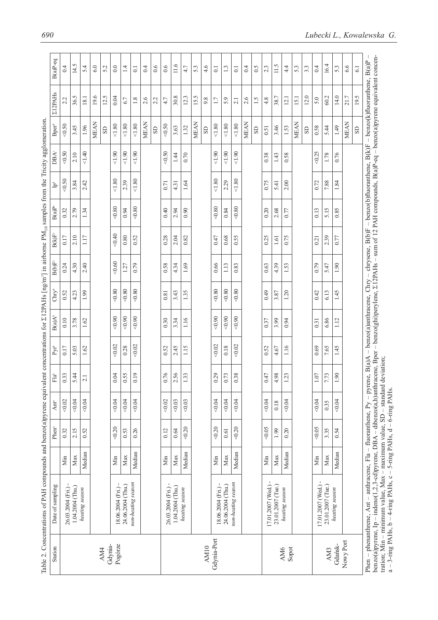| 14.5<br>11.6<br>11.5<br>16.4<br>5.4<br>6.0<br>0.6<br>0.6<br>4.6<br>1.3<br>0.4<br>$\widetilde{0}$ .5<br>3.3<br>0.4<br>6.6<br>52<br>0.0<br>1.4<br>0.4<br>4.7<br>53<br>2.3<br>$4\cdot$<br>53<br>53<br>$\overline{0}$ .<br>$\Xi$<br>$\overline{61}$<br>$\overline{0}$<br>30.8<br>12.0<br>36.5<br>19.6<br>12.5<br>15.5<br>60.2<br>14.0<br>21.7<br>19.5<br>0.04<br>12.3<br>$18.1\,$<br>38.7<br>15.1<br>2.6<br>2.6<br>1.5<br>12.1<br>5.0<br>1.8<br>2.2<br>4.7<br>9.8<br>5.9<br>4.8<br>6.7<br>1.7<br>2.1<br><b>MEAN</b><br><b>MEAN</b><br><b>MEAN</b><br><b>MEAN</b><br><b>MEAN</b><br><b>MEAN</b><br>1.80<br>1.80<br>$<\!1.80$<br>$<1.80$<br>1.80<br><0.50<br>1.80<br>3.45<br>1.96<br>3.46<br>$0.58\,$<br>3.63<br>1.32<br>5.44<br>1.49<br>1.53<br>0.51<br>$_{\rm SD}$<br>S <sub>D</sub><br>S <sub>D</sub><br>$_{\rm SD}$<br>$\rm S\hspace{-1.2mm}D$<br>SD<br>1.40<br>1.90<br>1.90<br>1.90<br>1.90<br>1.90<br><0.50<br>1.90<br><0.25<br>2.10<br>1.78<br>1.44<br>0.70<br>0.38<br>0.58<br>0.76<br>1.43<br>$<\!\!1.80$<br>$<1.80$<br>$<1.80$<br>1.80<br>0.75<br>2.42<br>2.39<br>2.29<br>2.00<br>0.72<br>7.88<br>3.84<br>1.64<br>1.84<br>0.71<br>4.31<br>5.41<br>$<\!\!0.80$<br>$<\!\!0.80$<br>$<\!\!0.80$<br><0.80<br>1.34<br>5.15<br>0.85<br>2.79<br>0.94<br>0.40<br>2.94<br>0.90<br>0.84<br>0.20<br>2.68<br>0.13<br>0.77<br>40,40<br>2.10<br>1.17<br>0.52<br>0.28<br>0.68<br>0.55<br>0.25<br>0.75<br>2.39<br>0.80<br>2.04<br>0.82<br>0.47<br>0.77<br>0.21<br>1.61<br>$<\!\!0.60$<br>4.30<br>2.40<br>0.79<br>0.58<br>0.66<br>1.13<br>0.63<br>0.79<br>5.47<br>4.34<br>1.69<br>0.83<br>4.39<br>1.53<br>127<br>1.90<br>$-0.80$<br>$<0.80$<br>$-0.80$<br>$-0.80$<br>$-0.80$<br>$-0.80$<br>1.99<br>1.35<br>0.49<br>1.20<br>0.42<br>6.13<br>1.45<br>4.23<br>3.43<br>3.87<br>0.81<br>$-0.90$<br>0.90<br><0.90<br><0.90<br>< 0.90<br>0.90<br>1.16<br>3.78<br>1.62<br>0.30<br>6.86<br>1.12<br>3.34<br>0.37<br>3.99<br>0.94<br>0.31<br>0.02<br>0.02<br>0.02<br>0.02<br>1.15<br>$0.18\,$<br>1.16<br>1.62<br>0.28<br>2.45<br>0.52<br>0.69<br>7.65<br>1.45<br>5.03<br>0.52<br>4.67<br>0.76<br>0.19<br>2.56<br>0.38<br>1.90<br>5.44<br>0.04<br>0.55<br>1.33<br>0.29<br>0.73<br>4.98<br>$1.07\,$<br>7.73<br>0.47<br>1.23<br>2.1 |
|--------------------------------------------------------------------------------------------------------------------------------------------------------------------------------------------------------------------------------------------------------------------------------------------------------------------------------------------------------------------------------------------------------------------------------------------------------------------------------------------------------------------------------------------------------------------------------------------------------------------------------------------------------------------------------------------------------------------------------------------------------------------------------------------------------------------------------------------------------------------------------------------------------------------------------------------------------------------------------------------------------------------------------------------------------------------------------------------------------------------------------------------------------------------------------------------------------------------------------------------------------------------------------------------------------------------------------------------------------------------------------------------------------------------------------------------------------------------------------------------------------------------------------------------------------------------------------------------------------------------------------------------------------------------------------------------------------------------------------------------------------------------------------------------------------------------------------------------------------------------------------------------------------------------------------------------------------------------------------------------------------------------------------------------------------------------------------------------------------------------------------------------------------------------------------------------------------|
|                                                                                                                                                                                                                                                                                                                                                                                                                                                                                                                                                                                                                                                                                                                                                                                                                                                                                                                                                                                                                                                                                                                                                                                                                                                                                                                                                                                                                                                                                                                                                                                                                                                                                                                                                                                                                                                                                                                                                                                                                                                                                                                                                                                                        |
|                                                                                                                                                                                                                                                                                                                                                                                                                                                                                                                                                                                                                                                                                                                                                                                                                                                                                                                                                                                                                                                                                                                                                                                                                                                                                                                                                                                                                                                                                                                                                                                                                                                                                                                                                                                                                                                                                                                                                                                                                                                                                                                                                                                                        |
|                                                                                                                                                                                                                                                                                                                                                                                                                                                                                                                                                                                                                                                                                                                                                                                                                                                                                                                                                                                                                                                                                                                                                                                                                                                                                                                                                                                                                                                                                                                                                                                                                                                                                                                                                                                                                                                                                                                                                                                                                                                                                                                                                                                                        |
|                                                                                                                                                                                                                                                                                                                                                                                                                                                                                                                                                                                                                                                                                                                                                                                                                                                                                                                                                                                                                                                                                                                                                                                                                                                                                                                                                                                                                                                                                                                                                                                                                                                                                                                                                                                                                                                                                                                                                                                                                                                                                                                                                                                                        |
|                                                                                                                                                                                                                                                                                                                                                                                                                                                                                                                                                                                                                                                                                                                                                                                                                                                                                                                                                                                                                                                                                                                                                                                                                                                                                                                                                                                                                                                                                                                                                                                                                                                                                                                                                                                                                                                                                                                                                                                                                                                                                                                                                                                                        |
|                                                                                                                                                                                                                                                                                                                                                                                                                                                                                                                                                                                                                                                                                                                                                                                                                                                                                                                                                                                                                                                                                                                                                                                                                                                                                                                                                                                                                                                                                                                                                                                                                                                                                                                                                                                                                                                                                                                                                                                                                                                                                                                                                                                                        |
|                                                                                                                                                                                                                                                                                                                                                                                                                                                                                                                                                                                                                                                                                                                                                                                                                                                                                                                                                                                                                                                                                                                                                                                                                                                                                                                                                                                                                                                                                                                                                                                                                                                                                                                                                                                                                                                                                                                                                                                                                                                                                                                                                                                                        |
|                                                                                                                                                                                                                                                                                                                                                                                                                                                                                                                                                                                                                                                                                                                                                                                                                                                                                                                                                                                                                                                                                                                                                                                                                                                                                                                                                                                                                                                                                                                                                                                                                                                                                                                                                                                                                                                                                                                                                                                                                                                                                                                                                                                                        |
|                                                                                                                                                                                                                                                                                                                                                                                                                                                                                                                                                                                                                                                                                                                                                                                                                                                                                                                                                                                                                                                                                                                                                                                                                                                                                                                                                                                                                                                                                                                                                                                                                                                                                                                                                                                                                                                                                                                                                                                                                                                                                                                                                                                                        |
|                                                                                                                                                                                                                                                                                                                                                                                                                                                                                                                                                                                                                                                                                                                                                                                                                                                                                                                                                                                                                                                                                                                                                                                                                                                                                                                                                                                                                                                                                                                                                                                                                                                                                                                                                                                                                                                                                                                                                                                                                                                                                                                                                                                                        |
|                                                                                                                                                                                                                                                                                                                                                                                                                                                                                                                                                                                                                                                                                                                                                                                                                                                                                                                                                                                                                                                                                                                                                                                                                                                                                                                                                                                                                                                                                                                                                                                                                                                                                                                                                                                                                                                                                                                                                                                                                                                                                                                                                                                                        |
|                                                                                                                                                                                                                                                                                                                                                                                                                                                                                                                                                                                                                                                                                                                                                                                                                                                                                                                                                                                                                                                                                                                                                                                                                                                                                                                                                                                                                                                                                                                                                                                                                                                                                                                                                                                                                                                                                                                                                                                                                                                                                                                                                                                                        |
|                                                                                                                                                                                                                                                                                                                                                                                                                                                                                                                                                                                                                                                                                                                                                                                                                                                                                                                                                                                                                                                                                                                                                                                                                                                                                                                                                                                                                                                                                                                                                                                                                                                                                                                                                                                                                                                                                                                                                                                                                                                                                                                                                                                                        |
|                                                                                                                                                                                                                                                                                                                                                                                                                                                                                                                                                                                                                                                                                                                                                                                                                                                                                                                                                                                                                                                                                                                                                                                                                                                                                                                                                                                                                                                                                                                                                                                                                                                                                                                                                                                                                                                                                                                                                                                                                                                                                                                                                                                                        |
|                                                                                                                                                                                                                                                                                                                                                                                                                                                                                                                                                                                                                                                                                                                                                                                                                                                                                                                                                                                                                                                                                                                                                                                                                                                                                                                                                                                                                                                                                                                                                                                                                                                                                                                                                                                                                                                                                                                                                                                                                                                                                                                                                                                                        |
|                                                                                                                                                                                                                                                                                                                                                                                                                                                                                                                                                                                                                                                                                                                                                                                                                                                                                                                                                                                                                                                                                                                                                                                                                                                                                                                                                                                                                                                                                                                                                                                                                                                                                                                                                                                                                                                                                                                                                                                                                                                                                                                                                                                                        |
|                                                                                                                                                                                                                                                                                                                                                                                                                                                                                                                                                                                                                                                                                                                                                                                                                                                                                                                                                                                                                                                                                                                                                                                                                                                                                                                                                                                                                                                                                                                                                                                                                                                                                                                                                                                                                                                                                                                                                                                                                                                                                                                                                                                                        |
|                                                                                                                                                                                                                                                                                                                                                                                                                                                                                                                                                                                                                                                                                                                                                                                                                                                                                                                                                                                                                                                                                                                                                                                                                                                                                                                                                                                                                                                                                                                                                                                                                                                                                                                                                                                                                                                                                                                                                                                                                                                                                                                                                                                                        |
|                                                                                                                                                                                                                                                                                                                                                                                                                                                                                                                                                                                                                                                                                                                                                                                                                                                                                                                                                                                                                                                                                                                                                                                                                                                                                                                                                                                                                                                                                                                                                                                                                                                                                                                                                                                                                                                                                                                                                                                                                                                                                                                                                                                                        |
|                                                                                                                                                                                                                                                                                                                                                                                                                                                                                                                                                                                                                                                                                                                                                                                                                                                                                                                                                                                                                                                                                                                                                                                                                                                                                                                                                                                                                                                                                                                                                                                                                                                                                                                                                                                                                                                                                                                                                                                                                                                                                                                                                                                                        |
|                                                                                                                                                                                                                                                                                                                                                                                                                                                                                                                                                                                                                                                                                                                                                                                                                                                                                                                                                                                                                                                                                                                                                                                                                                                                                                                                                                                                                                                                                                                                                                                                                                                                                                                                                                                                                                                                                                                                                                                                                                                                                                                                                                                                        |
|                                                                                                                                                                                                                                                                                                                                                                                                                                                                                                                                                                                                                                                                                                                                                                                                                                                                                                                                                                                                                                                                                                                                                                                                                                                                                                                                                                                                                                                                                                                                                                                                                                                                                                                                                                                                                                                                                                                                                                                                                                                                                                                                                                                                        |
|                                                                                                                                                                                                                                                                                                                                                                                                                                                                                                                                                                                                                                                                                                                                                                                                                                                                                                                                                                                                                                                                                                                                                                                                                                                                                                                                                                                                                                                                                                                                                                                                                                                                                                                                                                                                                                                                                                                                                                                                                                                                                                                                                                                                        |
|                                                                                                                                                                                                                                                                                                                                                                                                                                                                                                                                                                                                                                                                                                                                                                                                                                                                                                                                                                                                                                                                                                                                                                                                                                                                                                                                                                                                                                                                                                                                                                                                                                                                                                                                                                                                                                                                                                                                                                                                                                                                                                                                                                                                        |
|                                                                                                                                                                                                                                                                                                                                                                                                                                                                                                                                                                                                                                                                                                                                                                                                                                                                                                                                                                                                                                                                                                                                                                                                                                                                                                                                                                                                                                                                                                                                                                                                                                                                                                                                                                                                                                                                                                                                                                                                                                                                                                                                                                                                        |
|                                                                                                                                                                                                                                                                                                                                                                                                                                                                                                                                                                                                                                                                                                                                                                                                                                                                                                                                                                                                                                                                                                                                                                                                                                                                                                                                                                                                                                                                                                                                                                                                                                                                                                                                                                                                                                                                                                                                                                                                                                                                                                                                                                                                        |
|                                                                                                                                                                                                                                                                                                                                                                                                                                                                                                                                                                                                                                                                                                                                                                                                                                                                                                                                                                                                                                                                                                                                                                                                                                                                                                                                                                                                                                                                                                                                                                                                                                                                                                                                                                                                                                                                                                                                                                                                                                                                                                                                                                                                        |
|                                                                                                                                                                                                                                                                                                                                                                                                                                                                                                                                                                                                                                                                                                                                                                                                                                                                                                                                                                                                                                                                                                                                                                                                                                                                                                                                                                                                                                                                                                                                                                                                                                                                                                                                                                                                                                                                                                                                                                                                                                                                                                                                                                                                        |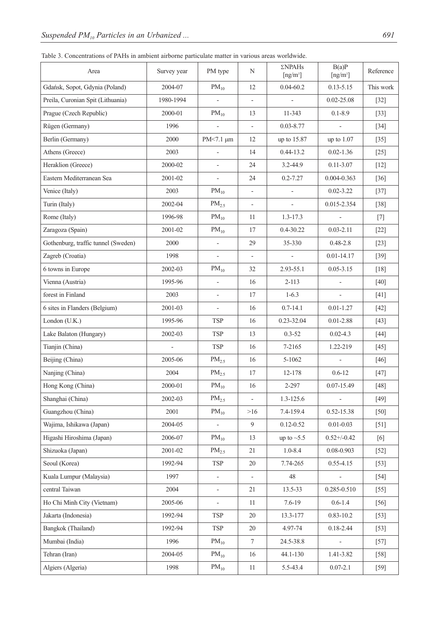| Table 3. Concentrations of PAHs in ambient airborne particulate matter in various areas worldwide. |  |  |  |  |  |
|----------------------------------------------------------------------------------------------------|--|--|--|--|--|
|                                                                                                    |  |  |  |  |  |
|                                                                                                    |  |  |  |  |  |

| Area                                | Survey year    | PM type                  | N                        | ΣNPAHs<br>$[ng/m^3]$ | B(a)P<br>$[ng/m^3]$      | Reference |
|-------------------------------------|----------------|--------------------------|--------------------------|----------------------|--------------------------|-----------|
| Gdańsk, Sopot, Gdynia (Poland)      | 2004-07        | $PM_{10}$                | 12                       | $0.04 - 60.2$        | $0.13 - 5.15$            | This work |
| Preila, Curonian Spit (Lithuania)   | 1980-1994      | $\overline{a}$           | $\frac{1}{2}$            |                      | $0.02 - 25.08$           | $[32]$    |
| Prague (Czech Republic)             | 2000-01        | $PM_{10}$                | 13                       | 11-343               | $0.1 - 8.9$              | $[33]$    |
| Rügen (Germany)                     | 1996           | $\overline{\phantom{0}}$ | $\overline{\phantom{a}}$ | $0.03 - 8.77$        | $\overline{\phantom{0}}$ | $[34]$    |
| Berlin (Germany)                    | 2000           | PM<7.1 µm                | 12                       | up to 15.87          | up to 1.07               | $[35]$    |
| Athens (Greece)                     | 2003           | $\overline{\phantom{m}}$ | 14                       | $0.44 - 13.2$        | $0.02 - 1.36$            | $[25]$    |
| Heraklion (Greece)                  | 2000-02        | $\overline{\phantom{0}}$ | 24                       | 3.2-44.9             | $0.11 - 3.07$            | $[12]$    |
| Eastern Mediterranean Sea           | 2001-02        | $\overline{\phantom{0}}$ | 24                       | $0.2 - 7.27$         | $0.004 - 0.363$          | $[36]$    |
| Venice (Italy)                      | 2003           | $\mathrm{PM}_{10}$       | $\overline{\phantom{a}}$ |                      | $0.02 - 3.22$            | $[37]$    |
| Turin (Italy)                       | 2002-04        | $PM_{2.5}$               | $\overline{\phantom{a}}$ | $\overline{a}$       | 0.015-2.354              | $[38]$    |
| Rome (Italy)                        | 1996-98        | $PM_{10}$                | 11                       | 1.3-17.3             |                          | $[7]$     |
| Zaragoza (Spain)                    | 2001-02        | $PM_{10}$                | 17                       | 0.4-30.22            | $0.03 - 2.11$            | $[22]$    |
| Gothenburg, traffic tunnel (Sweden) | 2000           | $\overline{\phantom{m}}$ | 29                       | 35-330               | $0.48 - 2.8$             | $[23]$    |
| Zagreb (Croatia)                    | 1998           | $\overline{\phantom{0}}$ | $\overline{\phantom{a}}$ |                      | $0.01 - 14.17$           | $[39]$    |
| 6 towns in Europe                   | 2002-03        | $PM_{10}$                | 32                       | 2.93-55.1            | $0.05 - 3.15$            | $[18]$    |
| Vienna (Austria)                    | 1995-96        | $\frac{1}{2}$            | 16                       | $2 - 113$            | $\overline{a}$           | $[40]$    |
| forest in Finland                   | 2003           | $\overline{\phantom{0}}$ | 17                       | $1-6.3$              | $\overline{\phantom{0}}$ | $[41]$    |
| 6 sites in Flanders (Belgium)       | 2001-03        | $\overline{\phantom{0}}$ | 16                       | $0.7 - 14.1$         | $0.01 - 1.27$            | $[42]$    |
| London (U.K.)                       | 1995-96        | <b>TSP</b>               | 16                       | 0.23-32.04           | $0.01 - 2.88$            | $[43]$    |
| Lake Balaton (Hungary)              | 2002-03        | TSP                      | 13                       | $0.3 - 52$           | $0.02 - 4.3$             | $[44]$    |
| Tianjin (China)                     | $\overline{a}$ | <b>TSP</b>               | 16                       | 7-2165               | 1.22-219                 | $[45]$    |
| Beijing (China)                     | 2005-06        | PM <sub>2.5</sub>        | 16                       | 5-1062               | $\overline{a}$           | $[46]$    |
| Nanjing (China)                     | 2004           | PM <sub>2.5</sub>        | 17                       | 12-178               | $0.6 - 12$               | $[47]$    |
| Hong Kong (China)                   | 2000-01        | $PM_{10}$                | 16                       | 2-297                | $0.07 - 15.49$           | $[48]$    |
| Shanghai (China)                    | 2002-03        | PM <sub>2.5</sub>        | $\overline{\phantom{a}}$ | 1.3-125.6            | $\frac{1}{2}$            | $[49]$    |
| Guangzhou (China)                   | 2001           | $PM_{10}$                | >16                      | 7.4-159.4            | 0.52-15.38               | $[50]$    |
| Wajima, Ishikawa (Japan)            | 2004-05        | $\overline{\phantom{m}}$ | 9                        | $0.12 - 0.52$        | $0.01 - 0.03$            | $[51]$    |
| Higashi Hiroshima (Japan)           | 2006-07        | $PM_{10}$                | 13                       | up to $\sim$ 5.5     | $0.52 + (-0.42)$         | [6]       |
| Shizuoka (Japan)                    | 2001-02        | $PM_{2.5}$               | 21                       | $1.0 - 8.4$          | 0.08-0.903               | $[52]$    |
| Seoul (Korea)                       | 1992-94        | TSP                      | 20                       | 7.74-265             | $0.55 - 4.15$            | $[53]$    |
| Kuala Lumpur (Malaysia)             | 1997           | $\frac{1}{2}$            | $\overline{\phantom{0}}$ | 48                   |                          | $[54]$    |
| central Taiwan                      | 2004           | $\overline{\phantom{m}}$ | 21                       | 13.5-33              | 0.285-0.510              | $[55]$    |
| Ho Chi Minh City (Vietnam)          | 2005-06        | $\qquad \qquad -$        | 11                       | $7.6 - 19$           | $0.6 - 1.4$              | $[56]$    |
| Jakarta (Indonesia)                 | 1992-94        | TSP                      | 20                       | 13.3-177             | $0.83 - 10.2$            | $[53]$    |
| Bangkok (Thailand)                  | 1992-94        | <b>TSP</b>               | 20                       | 4.97-74              | $0.18 - 2.44$            | $[53]$    |
| Mumbai (India)                      | 1996           | $PM_{10}$                | $\tau$                   | 24.5-38.8            |                          | $[57]$    |
| Tehran (Iran)                       | 2004-05        | $PM_{10}$                | 16                       | 44.1-130             | 1.41-3.82                | $[58]$    |
| Algiers (Algeria)                   | 1998           | $PM_{10}$                | $11\,$                   | 5.5-43.4             | $0.07 - 2.1$             | $[59]$    |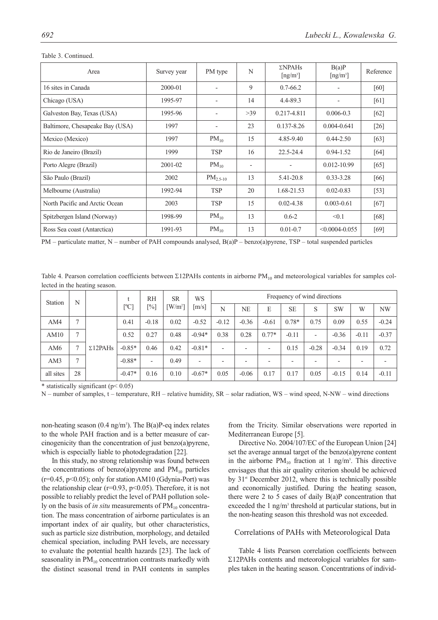| Area                            | Survey year | PM type                  | N                        | $\Sigma$ NPAHs<br>$\lceil$ ng/m <sup>3</sup> $\rceil$ | B(a)P<br>$\lceil ng/m^3 \rceil$ | Reference |
|---------------------------------|-------------|--------------------------|--------------------------|-------------------------------------------------------|---------------------------------|-----------|
| 16 sites in Canada              | 2000-01     | $\overline{a}$           | 9                        | $0.7 - 66.2$                                          |                                 | [60]      |
| Chicago (USA)                   | 1995-97     |                          | 14                       | 4.4-89.3                                              |                                 | [61]      |
| Galveston Bay, Texas (USA)      | 1995-96     | $\overline{\phantom{a}}$ | $>39$                    | $0.217 - 4.811$                                       | $0.006 - 0.3$                   | $[62]$    |
| Baltimore, Chesapeake Bay (USA) | 1997        |                          | 23                       | $0.137 - 8.26$                                        | $0.004 - 0.641$                 | $[26]$    |
| Mexico (Mexico)                 | 1997        | $PM_{10}$                | 15                       | 4.85-9.40                                             | $0.44 - 2.50$                   | $[63]$    |
| Rio de Janeiro (Brazil)         | 1999        | <b>TSP</b>               | 16                       | $22.5 - 24.4$                                         | $0.94 - 1.52$                   | [64]      |
| Porto Alegre (Brazil)           | 2001-02     | $PM_{10}$                | $\overline{\phantom{a}}$ |                                                       | $0.012 - 10.99$                 | $[65]$    |
| São Paulo (Brazil)              | 2002        | $PM_{2.5-10}$            | 13                       | 5.41-20.8                                             | $0.33 - 3.28$                   | [66]      |
| Melbourne (Australia)           | 1992-94     | <b>TSP</b>               | 20                       | 1.68-21.53                                            | $0.02 - 0.83$                   | $[53]$    |
| North Pacific and Arctic Ocean  | 2003        | <b>TSP</b>               | 15                       | $0.02 - 4.38$                                         | $0.003 - 0.61$                  | $[67]$    |
| Spitzbergen Island (Norway)     | 1998-99     | $PM_{10}$                | 13                       | $0.6 - 2$                                             | < 0.1                           | [68]      |
| Ross Sea coast (Antarctica)     | 1991-93     | $PM_{10}$                | 13                       | $0.01 - 0.7$                                          | $< 0.0004 - 0.055$              | $[69]$    |

Table 3. Continued.

 $PM$  – particulate matter, N – number of PAH compounds analysed,  $B(a)P$  – benzo(a)pyrene, TSP – total suspended particles

Table 4. Pearson correlation coefficients between Σ12PAHs contents in airborne PM<sub>10</sub> and meteorological variables for samples collected in the heating season.

| Station         | N  |                 | $\ddot{}$ | <b>RH</b>                | <b>SR</b>             | WS                       | Frequency of wind directions |         |                          |           |                          |           |                          |         |
|-----------------|----|-----------------|-----------|--------------------------|-----------------------|--------------------------|------------------------------|---------|--------------------------|-----------|--------------------------|-----------|--------------------------|---------|
|                 |    |                 | [°C]      | $[\%]$                   | $\lceil W/m^2 \rceil$ | $\lceil m/s \rceil$      | N                            | NF.     | E                        | <b>SE</b> | S                        | <b>SW</b> | W                        | NW      |
| AM4             | 7  |                 | 0.41      | $-0.18$                  | 0.02                  | $-0.52$                  | $-0.12$                      | $-0.36$ | $-0.61$                  | $0.78*$   | 0.75                     | 0.09      | 0.55                     | $-0.24$ |
| AM10            |    |                 | 0.52      | 0.27                     | 0.48                  | $-0.94*$                 | 0.38                         | 0.28    | $0.77*$                  | $-0.11$   | $\overline{\phantom{0}}$ | $-0.36$   | $-0.11$                  | $-0.37$ |
| AM <sub>6</sub> |    | $\Sigma12$ PAHs | $-0.85*$  | 0.46                     | 0.42                  | $-0.81*$                 | $\overline{\phantom{0}}$     |         | $\overline{\phantom{0}}$ | 0.15      | $-0.28$                  | $-0.34$   | 0.19                     | 0.72    |
| AM3             | 7  |                 | $-0.88*$  | $\overline{\phantom{a}}$ | 0.49                  | $\overline{\phantom{0}}$ |                              |         |                          |           |                          |           | $\overline{\phantom{0}}$ |         |
| all sites       | 28 |                 | $-0.47*$  | 0.16                     | 0.10                  | $-0.67*$                 | 0.05                         | $-0.06$ | 0.17                     | 0.17      | 0.05                     | $-0.15$   | 0.14                     | $-0.11$ |

\* statistically significant ( $p$ < 0.05)

N – number of samples, t – temperature, RH – relative humidity, SR – solar radiation, WS – wind speed, N-NW – wind directions

non-heating season (0.4 ng/m<sup>3</sup>). The B(a)P-eq index relates to the whole PAH fraction and is a better measure of carcinogenicity than the concentration of just benzo(a)pyrene, which is especially liable to photodegradation [22].

In this study, no strong relationship was found between the concentrations of benzo(a)pyrene and  $PM_{10}$  particles  $(r=0.45, p<0.05)$ ; only for station AM10 (Gdynia-Port) was the relationship clear ( $r=0.93$ ,  $p<0.05$ ). Therefore, it is not possible to reliably predict the level of PAH pollution solely on the basis of *in situ* measurements of PM<sub>10</sub> concentration. The mass concentration of airborne particulates is an important index of air quality, but other characteristics, such as particle size distribution, morphology, and detailed chemical speciation, including PAH levels, are necessary to evaluate the potential health hazards [23]. The lack of seasonality in  $PM_{10}$  concentration contrasts markedly with the distinct seasonal trend in PAH contents in samples from the Tricity. Similar observations were reported in Mediterranean Europe [5].

Directive No. 2004/107/EC of the European Union [24] set the average annual target of the benzo(a)pyrene content in the airborne  $PM_{10}$  fraction at 1 ng/m<sup>3</sup>. This directive envisages that this air quality criterion should be achieved by  $31<sup>st</sup>$  December 2012, where this is technically possible and economically justified. During the heating season, there were 2 to 5 cases of daily B(a)P concentration that exceeded the 1 ng/m<sup>3</sup> threshold at particular stations, but in the non-heating season this threshold was not exceeded.

# Correlations of PAHs with Meteorological Data

Table 4 lists Pearson correlation coefficients between Σ12PAHs contents and meteorological variables for samples taken in the heating season. Concentrations of individ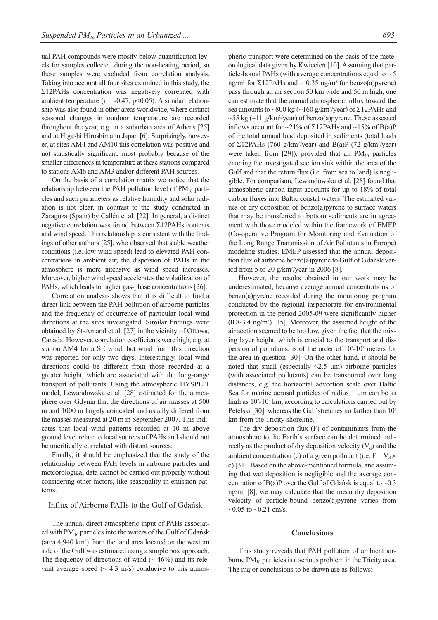ual PAH compounds were mostly below quantification levels for samples collected during the non-heating period, so these samples were excluded from correlation analysis. Taking into account all four sites examined in this study, the Σ12PAHs concentration was negatively correlated with ambient temperature ( $r = -0.47$ ,  $p < 0.05$ ). A similar relationship was also found in other areas worldwide, where distinct seasonal changes in outdoor temperature are recorded throughout the year, e.g. in a suburban area of Athens [25] and at Higashi Hiroshima in Japan [6]. Surprisingly, however, at sites AM4 and AM10 this correlation was positive and not statistically significant, most probably because of the smaller differences in temperature at these stations compared to stations AM6 and AM3 and/or different PAH sources.

On the basis of a correlation matrix we notice that the relationship between the PAH pollution level of  $PM_{10}$  particles and such parameters as relative humidity and solar radiation is not clear, in contrast to the study conducted in Zaragoza (Spain) by Callén et al. [22]. In general, a distinct negative correlation was found between Σ12PAHs contents and wind speed. This relationship is consistent with the findings of other authors [25], who observed that stable weather conditions (i.e. low wind speed) lead to elevated PAH concentrations in ambient air; the dispersion of PAHs in the atmosphere is more intensive as wind speed increases. Moreover, higher wind speed accelerates the volatilization of PAHs, which leads to higher gas-phase concentrations [26].

Correlation analysis shows that it is difficult to find a direct link between the PAH pollution of airborne particles and the frequency of occurrence of particular local wind directions at the sites investigated. Similar findings were obtained by St-Amand et al. [27] in the vicinity of Ottawa, Canada. However, correlation coefficients were high, e.g. at station AM4 for a SE wind, but wind from this direction was reported for only two days. Interestingly, local wind directions could be different from those recorded at a greater height, which are associated with the long-range transport of pollutants. Using the atmospheric HYSPLIT model, Lewandowska et al. [28] estimated for the atmosphere over Gdynia that the directions of air masses at 500 m and 1000 m largely coincided and usually differed from the masses measured at 20 m in September 2007. This indicates that local wind patterns recorded at 10 m above ground level relate to local sources of PAHs and should not be uncritically correlated with distant sources.

Finally, it should be emphasized that the study of the relationship between PAH levels in airborne particles and meteorological data cannot be carried out properly without considering other factors, like seasonality in emission patterns.

# Influx of Airborne PAHs to the Gulf of Gdańsk

The annual direct atmospheric input of PAHs associated with  $PM_{10}$  particles into the waters of the Gulf of Gdańsk (area 4,940 km2 ) from the land area located on the western side of the Gulf was estimated using a simple box approach. The frequency of directions of wind  $({\sim} 46\%)$  and its relevant average speed ( $\sim$  4.3 m/s) conducive to this atmospheric transport were determined on the basis of the meteorological data given by Kwiecień [10]. Assuming that particle-bound PAHs (with average concentrations equal to  $\sim$  5 ng/m<sup>3</sup> for Σ12PAHs and  $\sim$  0.35 ng/m<sup>3</sup> for benzo(a)pyrene) pass through an air section 50 km wide and 50 m high, one can estimate that the annual atmospheric influx toward the sea amounts to  $\sim 800 \text{ kg}$  ( $\sim 160 \text{ g/km}^2$ /year) of  $\Sigma$ 12PAHs and  $\sim$ 55 kg ( $\sim$ 11 g/km<sup>2</sup>/year) of benzo(a)pyrene. These assessed inflows account for ~21% of  $\Sigma$ 12PAHs and ~15% of B(a)P of the total annual load deposited in sediments (total loads of  $\Sigma$ 12PAHs (760 g/km<sup>2</sup>/year) and B(a)P (72 g/km<sup>2</sup>/year) were taken from [29]), provided that all  $PM_{10}$  particles entering the investigated section sink within the area of the Gulf and that the return flux (i.e. from sea to land) is negligible. For comparison, Lewandowska et al. [28] found that atmospheric carbon input accounts for up to 18% of total carbon fluxes into Baltic coastal waters. The estimated values of dry deposition of benzo(a)pyrene to surface waters that may be transferred to bottom sediments are in agreement with those modeled within the framework of EMEP (Co-operative Program for Monitoring and Evaluation of the Long Range Transmission of Air Pollutants in Europe) modeling studies. EMEP assessed that the annual deposition flux of airborne benzo(a)pyrene to Gulf of Gdańsk varied from 5 to 20 g/km2 /year in 2006 [8].

However, the results obtained in our work may be underestimated, because average annual concentrations of benzo(a)pyrene recorded during the monitoring program conducted by the regional inspectorate for environmental protection in the period 2005-09 were significantly higher  $(0.8-3.4 \text{ ng/m}^3)$  [15]. Moreover, the assumed height of the air section seemed to be too low, given the fact that the mixing layer height, which is crucial to the transport and dispersion of pollutants, is of the order of  $10<sup>2</sup>$ -10<sup>3</sup> meters for the area in question [30]. On the other hand, it should be noted that small (especially <2.5 μm) airborne particles (with associated pollutants) can be transported over long distances, e.g. the horizontal advection scale over Baltic Sea for marine aerosol particles of radius 1 μm can be as high as 10<sup>2</sup>-10<sup>3</sup> km, according to calculations carried out by Petelski [30], whereas the Gulf stretches no farther than  $10<sup>2</sup>$ km from the Tricity shoreline.

The dry deposition flux (F) of contaminants from the atmosphere to the Earth's surface can be determined indirectly as the product of dry deposition velocity  $(V_d)$  and the ambient concentration (c) of a given pollutant (i.e.  $F = V_d \times$ c) [31]. Based on the above-mentioned formula, and assuming that wet deposition is negligible and the average concentration of  $B(a)P$  over the Gulf of Gdańsk is equal to  $\sim 0.3$ ng/m3 [8], we may calculate that the mean dry deposition velocity of particle-bound benzo(a)pyrene varies from ~0.05 to ~0.21 cm/s.

### **Conclusions**

This study reveals that PAH pollution of ambient airborne  $PM_{10}$  particles is a serious problem in the Tricity area. The major conclusions to be drawn are as follows: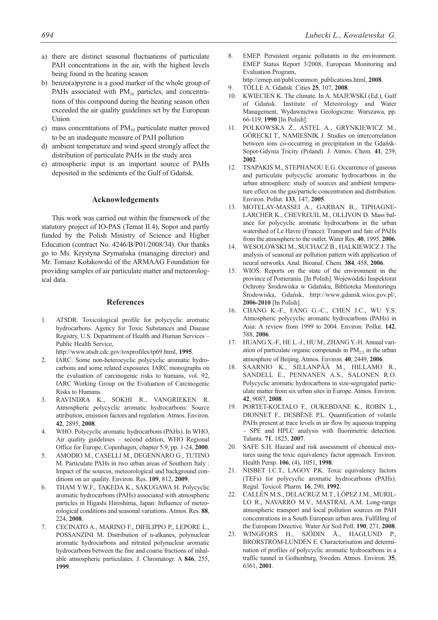- a) there are distinct seasonal fluctuations of particulate PAH concentrations in the air, with the highest levels being found in the heating season
- b) benzo(a)pyrene is a good marker of the whole group of PAHs associated with  $PM_{10}$  particles, and concentrations of this compound during the heating season often exceeded the air quality guidelines set by the European **Union**
- c) mass concentrations of  $PM_{10}$  particulate matter proved to be an inadequate measure of PAH pollution
- d) ambient temperature and wind speed strongly affect the distribution of particulate PAHs in the study area
- e) atmospheric input is an important source of PAHs deposited in the sediments of the Gulf of Gdańsk.

### **Acknowledgements**

This work was carried out within the framework of the statutory project of IO-PAS (Temat II.4), Sopot and partly funded by the Polish Ministry of Science and Higher Education (contract No. 4246/B/P01/2008/34). Our thanks go to Ms. Krystyna Szymańska (managing director) and Mr. Tomasz Kołakowski of the ARMAAG Foundation for providing samples of air particulate matter and meteorological data.

# **References**

- 1. ATSDR. Toxicological profile for polycyclic aromatic hydrocarbons. Agency for Toxic Substances and Disease Registry, U.S. Department of Health and Human Services – Public Health Service,
- http://www.atsdr.cdc.gov/toxprofiles/tp69.html, **1995**.
- 2. IARC. Some non-heterocyclic polycyclic aromatic hydrocarbons and some related exposures. IARC monographs on the evaluation of carcinogenic risks to humans, vol. 92, IARC Working Group on the Evaluation of Carcinogenic Risks to Humans.
- 3. RAVINDRA K., SOKHI R., VANGRIEKEN R. Atmospheric polycyclic aromatic hydrocarbons: Source attribution, emission factors and regulation. Atmos. Environ. **42**, 2895, **2008**.
- 4. WHO. Polycyclic aromatic hydrocarbons (PAHs). In WHO, Air quality guidelines – second edition, WHO Regional Office for Europe, Copenhagen, chapter 5.9, pp. 1-24, **2000**.
- 5. AMODIO M., CASELLI M., DEGENNARO G., TUTINO M. Particulate PAHs in two urban areas of Southern Italy : Impact of the sources, meteorological and background conditions on air quality. Environ. Res. **109**, 812, **2009**.
- 6. THAM Y.W.F., TAKEDA K., SAKUGAWA H. Polycyclic aromatic hydrocarbons (PAHs) associated with atmospheric particles in Higashi Hiroshima, Japan: Influence of meteorological conditions and seasonal variations. Atmos. Res. **88**, 224, **2008**.
- 7. CECINATO A., MARINO F., DIFILIPPO P., LEPORE L., POSSANZINI M. Distribution of n-alkanes, polynuclear aromatic hydrocarbons and nitrated polynuclear aromatic hydrocarbons between the fine and coarse fractions of inhalable atmospheric particulates. J. Chromatogr. A **846**, 255, **1999**.
- 8. EMEP. Persistent organic pollutants in the environment. EMEP Status Report 3/2008, European Monitoring and Evaluation Program,
- http://emep.int/publ/common\_publications.html, **2008**. 9. TÖLLE A. Gdańsk. Cities **25**, 107, **2008**.
- 10. KWIECIEŃ K. The climate. In A. MAJEWSKI (Ed.), Gulf of Gdańsk. Institute of Meteorology and Water Management, Wydawnictwa Geologiczne: Warszawa, pp. 66-119, **1990** [In Polish].
- 11. POLKOWSKA Ż., ASTEL A., GRYNKIEWICZ M., GÓRECKI T., NAMIEŚNIK J. Studies on intercorrelation between ions co-occurring in precipitation in the Gdańsk-Sopot-Gdynia Tricity (Poland). J. Atmos. Chem. **41**, 239, **2002**.
- 12. TSAPAKIS M., STEPHANOU E.G. Occurrence of gaseous and particulate polycyclic aromatic hydrocarbons in the urban atmosphere: study of sources and ambient temperature effect on the gas/particle concentration and distribution. Environ. Pollut. **133**, 147, **2005**.
- 13. MOTELAY-MASSEI A., GARBAN B., TIPHAGNE-LARCHER K., CHEVREUIL M., OLLIVON D. Mass balance for polycyclic aromatic hydrocarbons in the urban watershed of Le Havre (France): Transport and fate of PAHs from the atmosphere to the outlet. Water Res. **40**, 1995, **2006**.
- 14. WESOLOWSKI M., SUCHACZ B., HALKIEWICZ J. The analysis of seasonal air pollution pattern with application of neural networks. Anal. Bioanal. Chem. **384**, 458, **2006**.
- 15. WIOŚ. Reports on the state of the environment in the province of Pomerania. [In Polish]. Wojewódzki Inspektorat Ochrony Środowiska w Gdańsku, Biblioteka Monitoringu Środowiska, Gdańsk, http://www.gdansk.wios.gov.pl/, **2006-2010** [In Polish].
- 16. CHANG K.-F., FANG G.-C., CHEN J.C., WU Y.S. Atmospheric polycyclic aromatic hydrocarbons (PAHs) in Asia: A review from 1999 to 2004. Environ. Pollut. **142**, 388, **2006**.
- 17. HUANG X.-F., HE L.-J., HU M., ZHANG Y.-H. Annual variation of particulate organic compounds in  $PM_{2.5}$  in the urban atmosphere of Beijing. Atmos. Environ. **40**, 2449, **2006**.
- 18. SAARNIO K., SILLANPÄÄ M., HILLAMO R., SANDELL E., PENNANEN A.S., SALONEN R.O. Polycyclic aromatic hydrocarbons in size-segregated particulate matter from six urban sites in Europe. Atmos. Environ. **42**, 9087, **2008**.
- 19. PORTET-KOLTALO F., OUKEBDANE K., ROBIN L., DIONNET F., DESBÈNE P.L. Quantification of volatile PAHs present at trace levels in air flow by aqueous trapping – SPE and HPLC analysis with fluorimetric detection. Talanta. **71**, 1825, **2007**.
- 20. SAFE S.H. Hazard and risk assessment of chemical mixtures using the toxic equivalency factor approach. Environ. Health Persp. **106**, (4), 1051, **1998**.
- 21. NISBET I.C.T., LAGOY P.K. Toxic equivalency factors (TEFs) for polycyclic aromatic hydrocarbons (PAHs). Regul. Toxicol. Pharm. **16**, 290, **1992**.
- 22. CALLÉN M.S., DELACRUZ M.T., LÓPEZ J.M., MURIL-LO R., NAVARRO M.V., MASTRAL A.M. Long-range atmospheric transport and local pollution sources on PAH concentrations in a South European urban area. Fulfilling of the European Directive. Water Air Soil Poll. **190**, 271, **2008**.
- 23. WINGFORS H., SJÖDIN Å., HAGLUND P., BRORSTRÖM-LUNDÉN E. Characterisation and determination of profiles of polycyclic aromatic hydrocarbons in a traffic tunnel in Gothenburg, Sweden. Atmos. Environ. **35**, 6361, **2001**.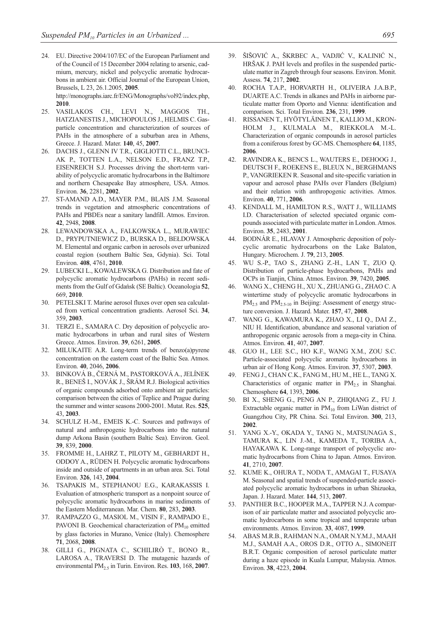- 24. EU. Directive 2004/107/EC of the European Parliament and of the Council of 15 December 2004 relating to arsenic, cadmium, mercury, nickel and polycyclic aromatic hydrocarbons in ambient air. Official Journal of the European Union, Brussels, L 23, 26.1.2005, **2005**. http://monographs.iarc.fr/ENG/Monographs/vol92/index.php, **2010**.
- 25. VASILAKOS CH., LEVI N., MAGGOS TH., HATZIANESTIS J., MICHOPOULOS J., HELMIS C. Gasparticle concentration and characterization of sources of PAHs in the atmosphere of a suburban area in Athens, Greece. J. Hazard. Mater. **140**, 45, **2007**.
- 26. DACHS J., GLENN IV T.R., GIGLIOTTI C.L., BRUNCI-AK P., TOTTEN L.A., NELSON E.D., FRANZ T.P., EISENREICH S.J. Processes driving the short-term variability of polycyclic aromatic hydrocarbons in the Baltimore and northern Chesapeake Bay atmosphere, USA. Atmos. Environ. **36**, 2281, **2002**.
- 27. ST-AMAND A.D., MAYER P.M., BLAIS J.M. Seasonal trends in vegetation and atmospheric concentrations of PAHs and PBDEs near a sanitary landfill. Atmos. Environ. **42**, 2948, **2008**.
- 28. LEWANDOWSKA A., FALKOWSKA L., MURAWIEC D., PRYPUTNIEWICZ D., BURSKA D., BEŁDOWSKA M. Elemental and organic carbon in aerosols over urbanized coastal region (southern Baltic Sea, Gdynia). Sci. Total Environ. **408**, 4761, **2010**.
- 29. LUBECKI L., KOWALEWSKA G. Distribution and fate of polycyclic aromatic hydrocarbons (PAHs) in recent sediments from the Gulf of Gdańsk (SE Baltic). Oceanologia **52**, 669, **2010**.
- 30. PETELSKI T. Marine aerosol fluxes over open sea calculated from vertical concentration gradients. Aerosol Sci. **34**, 359, **2003**.
- 31. TERZI E., SAMARA C. Dry deposition of polycyclic aromatic hydrocarbons in urban and rural sites of Western Greece. Atmos. Environ. **39**, 6261, **2005**.
- 32. MILUKAITE A.R. Long-term trends of benzo(a)pyrene concentration on the eastern coast of the Baltic Sea. Atmos. Environ. **40**, 2046, **2006**.
- 33. BINKOVÁ B., ČERNÁ M., PASTORKOVÁ A., JELÍNEK R., BENEŠ I., NOVÁK J., ŠRÁM R.J. Biological activities of organic compounds adsorbed onto ambient air particles: comparison between the cities of Teplice and Prague during the summer and winter seasons 2000-2001. Mutat. Res. **525**, 43, **2003**.
- 34. SCHULZ H.-M., EMEIS K.-C. Sources and pathways of natural and anthropogenic hydrocarbons into the natural dump Arkona Basin (southern Baltic Sea). Environ. Geol. **39**, 839, **2000**.
- 35. FROMME H., LAHRZ T., PILOTY M., GEBHARDT H., ODDOY A., RÜDEN H. Polycyclic aromatic hydrocarbons inside and outside of apartments in an urban area. Sci. Total Environ. **326**, 143, **2004**.
- 36. TSAPAKIS M., STEPHANOU E.G., KARAKASSIS I. Evaluation of atmospheric transport as a nonpoint source of polycyclic aromatic hydrocarbons in marine sediments of the Eastern Mediterranean. Mar. Chem. **80**, 283, **2003**.
- 37. RAMPAZZO G., MASIOL M., VISIN F., RAMPADO E., PAVONI B. Geochemical characterization of  $PM_{10}$  emitted by glass factories in Murano, Venice (Italy). Chemosphere **71**, 2068, **2008**.
- 38. GILLI G., PIGNATA C., SCHILIRÒ T., BONO R., LAROSA A., TRAVERSI D. The mutagenic hazards of environmental PM<sub>2.5</sub> in Turin. Environ. Res. 103, 168, 2007.
- 39. ŠIŠOVIĆ A., ŠKRBEC A., VADJIĆ V., KALINIĆ N., HRŠAK J. PAH levels and profiles in the suspended particulate matter in Zagreb through four seasons. Environ. Monit. Assess. **74**, 217, **2002**.
- 40. ROCHA T.A.P., HORVARTH H., OLIVEIRA J.A.B.P., DUARTE A.C. Trends in alkanes and PAHs in airborne particulate matter from Oporto and Vienna: identification and comparison. Sci. Total Environ. **236**, 231, **1999**.
- 41. RISSANEN T., HYÖTYLÄINEN T., KALLIO M., KRON-HOLM J., KULMALA M., RIEKKOLA M.-L. Characterization of organic compounds in aerosol particles from a coniferous forest by GC-MS. Chemosphere **64**, 1185, **2006**.
- 42. RAVINDRA K., BENCS L., WAUTERS E., DEHOOG J., DEUTSCH F., ROEKENS E., BLEUX N., BERGHMANS P., VANGRIEKEN R. Seasonal and site-specific variation in vapour and aerosol phase PAHs over Flanders (Belgium) and their relation with anthropogenic activities. Atmos. Environ. **40**, 771, **2006**.
- 43. KENDALL M., HAMILTON R.S., WATT J., WILLIAMS I.D. Characterisation of selected speciated organic compounds associated with particulate matter in London. Atmos. Environ. **35**, 2483, **2001**.
- 44. BODNÁR E., HLAVAY J. Atmospheric deposition of polycyclic aromatic hydrocarbons on the Lake Balaton, Hungary. Microchem. J. **79**, 213, **2005**.
- 45. WU S.-P., TAO S., ZHANG Z.-H., LAN T., ZUO Q. Distribution of particle-phase hydrocarbons, PAHs and OCPs in Tianjin, China. Atmos. Environ. **39**, 7420, **2005**.
- 46. WANG X., CHENG H., XU X., ZHUANG G., ZHAO C. A wintertime study of polycyclic aromatic hydrocarbons in  $PM_{2.5}$  and  $PM_{2.5-10}$  in Beijing: Assessment of energy structure conversion. J. Hazard. Mater. **157**, 47, **2008**.
- 47. WANG G., KAWAMURA K., ZHAO X., LI Q., DAI Z., NIU H. Identification, abundance and seasonal variation of anthropogenic organic aerosols from a mega-city in China. Atmos. Environ. **41**, 407, **2007**.
- 48. GUO H., LEE S.C., HO K.F., WANG X.M., ZOU S.C. Particle-associated polycyclic aromatic hydrocarbons in urban air of Hong Kong. Atmos. Environ. **37**, 5307, **2003**.
- 49. FENG J., CHAN C.K., FANG M., HU M., HE L., TANG X. Characteristics of organic matter in  $PM<sub>2.5</sub>$  in Shanghai. Chemosphere **64**, 1393, **2006**.
- 50. BI X., SHENG G., PENG AN P., ZHIQIANG Z., FU J. Extractable organic matter in  $PM_{10}$  from LiWan district of Guangzhou City, PR China. Sci. Total Environ. **300**, 213, **2002**.
- 51. YANG X.-Y., OKADA Y., TANG N., MATSUNAGA S., TAMURA K., LIN J.-M., KAMEDA T., TORIBA A., HAYAKAWA K. Long-range transport of polycyclic aromatic hydrocarbons from China to Japan. Atmos. Environ. **41**, 2710, **2007**.
- 52. KUME K., OHURA T., NODA T., AMAGAI T., FUSAYA M. Seasonal and spatial trends of suspended-particle associated polycyclic aromatic hydrocarbons in urban Shizuoka, Japan. J. Hazard. Mater. **144**, 513, **2007**.
- 53. PANTHER B.C., HOOPER M.A., TAPPER N.J. A comparison of air particulate matter and associated polycyclic aromatic hydrocarbons in some tropical and temperate urban environments. Atmos. Environ. **33**, 4087, **1999**.
- 54. ABAS M.R.B., RAHMAN N.A., OMAR N.Y.M.J., MAAH M.J., SAMAH A.A., OROS D.R., OTTO A., SIMONEIT B.R.T. Organic composition of aerosol particulate matter during a haze episode in Kuala Lumpur, Malaysia. Atmos. Environ. **38**, 4223, **2004**.